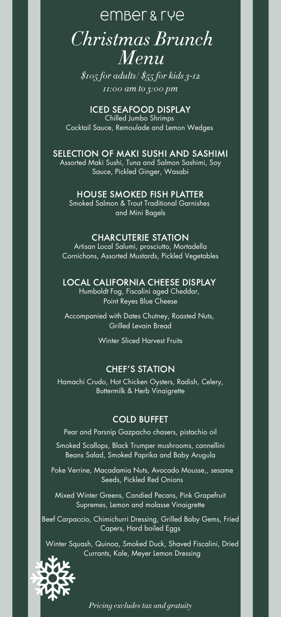## ember & rye *Christmas Brunch Menu*

*\$105 for adults/ \$55 for kids 3-12 11:00 am to 3:00 pm*

ICED SEAFOOD DISPLAY Chilled Jumbo Shrimps Cocktail Sauce, Remoulade and Lemon Wedges

## SELECTION OF MAKI SUSHI AND SASHIMI

Assorted Maki Sushi, Tuna and Salmon Sashimi, Soy Sauce, Pickled Ginger, Wasabi

## HOUSE SMOKED FISH PLATTER

Smoked Salmon & Trout Traditional Garnishes and Mini Bagels

#### CHARCUTERIE STATION

Artisan Local Salumi, prosciutto, Mortadella Cornichons, Assorted Mustards, Pickled Vegetables

#### LOCAL CALIFORNIA CHEESE DISPLAY

Humboldt Fog, Fiscalini aged Cheddar, Point Reyes Blue Cheese

Accompanied with Dates Chutney, Roasted Nuts, Grilled Levain Bread

Winter Sliced Harvest Fruits

## CHEF'S STATION

Hamachi Crudo, Hot Chicken Oysters, Radish, Celery, Buttermilk & Herb Vinaigrette

## COLD BUFFET

Pear and Parsnip Gazpacho chasers, pistachio oil

Smoked Scallops, Black Trumper mushrooms, cannellini Beans Salad, Smoked Paprika and Baby Arugula

Poke Verrine, Macadamia Nuts, Avocado Mousse,, sesame Seeds, Pickled Red Onions

Mixed Winter Greens, Candied Pecans, Pink Grapefruit Supremes, Lemon and molasse Vinaigrette

Beef Carpaccio, Chimichurri Dressing, Grilled Baby Gems, Fried Capers, Hard boiled Eggs

Winter Squash, Quinoa, Smoked Duck, Shaved Fiscalini, Dried Currants, Kale, Meyer Lemon Dressing



*Pricing excludes tax and gratuity*